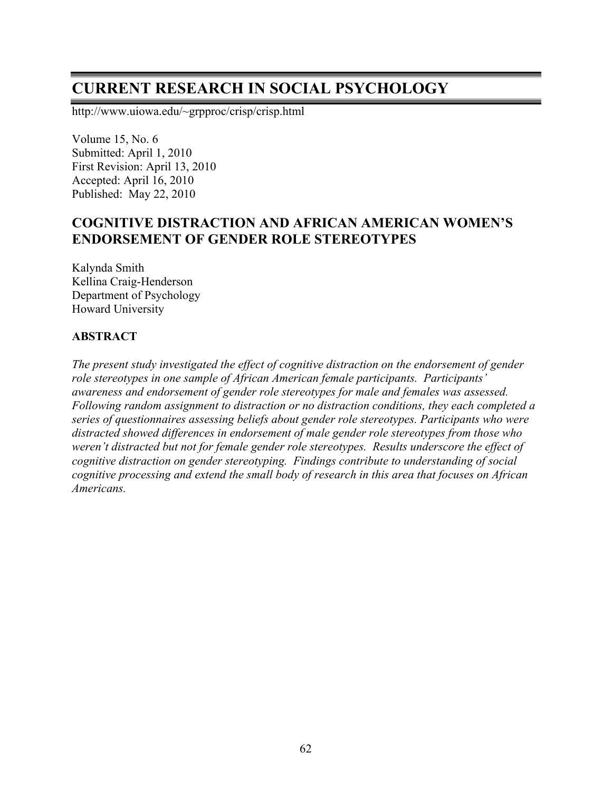# **CURRENT RESEARCH IN SOCIAL PSYCHOLOGY**

http://www.uiowa.edu/~grpproc/crisp/crisp.html

Volume 15, No. 6 Submitted: April 1, 2010 First Revision: April 13, 2010 Accepted: April 16, 2010 Published: May 22, 2010

# **COGNITIVE DISTRACTION AND AFRICAN AMERICAN WOMEN'S ENDORSEMENT OF GENDER ROLE STEREOTYPES**

Kalynda Smith Kellina Craig-Henderson Department of Psychology Howard University

#### **ABSTRACT**

*The present study investigated the effect of cognitive distraction on the endorsement of gender role stereotypes in one sample of African American female participants. Participants' awareness and endorsement of gender role stereotypes for male and females was assessed. Following random assignment to distraction or no distraction conditions, they each completed a series of questionnaires assessing beliefs about gender role stereotypes. Participants who were distracted showed differences in endorsement of male gender role stereotypes from those who weren't distracted but not for female gender role stereotypes. Results underscore the effect of cognitive distraction on gender stereotyping. Findings contribute to understanding of social cognitive processing and extend the small body of research in this area that focuses on African Americans.*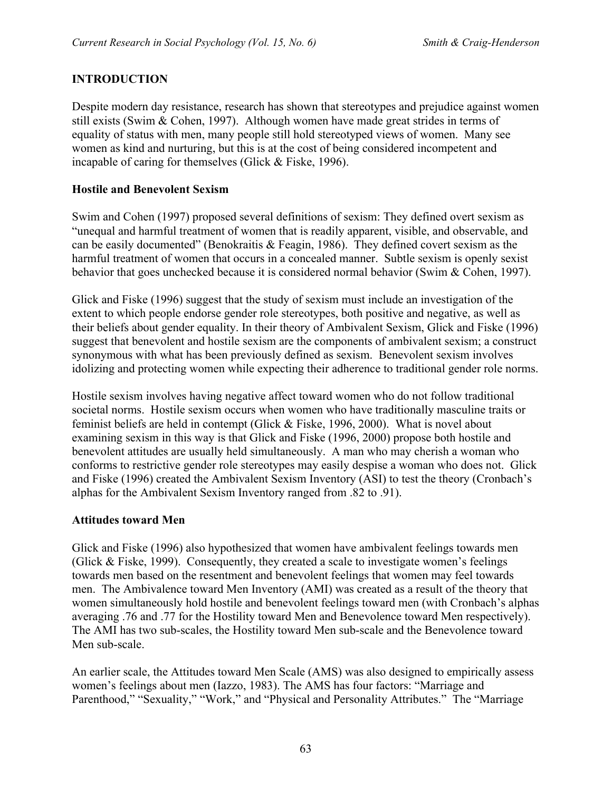# **INTRODUCTION**

Despite modern day resistance, research has shown that stereotypes and prejudice against women still exists (Swim & Cohen, 1997). Although women have made great strides in terms of equality of status with men, many people still hold stereotyped views of women. Many see women as kind and nurturing, but this is at the cost of being considered incompetent and incapable of caring for themselves (Glick & Fiske, 1996).

#### **Hostile and Benevolent Sexism**

Swim and Cohen (1997) proposed several definitions of sexism: They defined overt sexism as "unequal and harmful treatment of women that is readily apparent, visible, and observable, and can be easily documented" (Benokraitis & Feagin, 1986). They defined covert sexism as the harmful treatment of women that occurs in a concealed manner. Subtle sexism is openly sexist behavior that goes unchecked because it is considered normal behavior (Swim & Cohen, 1997).

Glick and Fiske (1996) suggest that the study of sexism must include an investigation of the extent to which people endorse gender role stereotypes, both positive and negative, as well as their beliefs about gender equality. In their theory of Ambivalent Sexism, Glick and Fiske (1996) suggest that benevolent and hostile sexism are the components of ambivalent sexism; a construct synonymous with what has been previously defined as sexism. Benevolent sexism involves idolizing and protecting women while expecting their adherence to traditional gender role norms.

Hostile sexism involves having negative affect toward women who do not follow traditional societal norms. Hostile sexism occurs when women who have traditionally masculine traits or feminist beliefs are held in contempt (Glick & Fiske, 1996, 2000). What is novel about examining sexism in this way is that Glick and Fiske (1996, 2000) propose both hostile and benevolent attitudes are usually held simultaneously. A man who may cherish a woman who conforms to restrictive gender role stereotypes may easily despise a woman who does not. Glick and Fiske (1996) created the Ambivalent Sexism Inventory (ASI) to test the theory (Cronbach's alphas for the Ambivalent Sexism Inventory ranged from .82 to .91).

#### **Attitudes toward Men**

Glick and Fiske (1996) also hypothesized that women have ambivalent feelings towards men (Glick  $&$  Fiske, 1999). Consequently, they created a scale to investigate women's feelings towards men based on the resentment and benevolent feelings that women may feel towards men. The Ambivalence toward Men Inventory (AMI) was created as a result of the theory that women simultaneously hold hostile and benevolent feelings toward men (with Cronbach's alphas averaging .76 and .77 for the Hostility toward Men and Benevolence toward Men respectively). The AMI has two sub-scales, the Hostility toward Men sub-scale and the Benevolence toward Men sub-scale.

An earlier scale, the Attitudes toward Men Scale (AMS) was also designed to empirically assess women's feelings about men (Iazzo, 1983). The AMS has four factors: "Marriage and Parenthood," "Sexuality," "Work," and "Physical and Personality Attributes." The "Marriage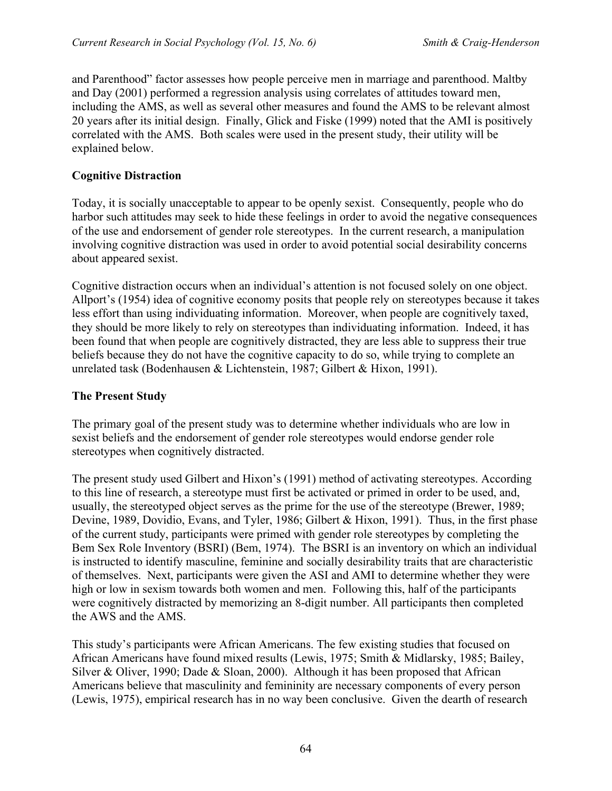and Parenthood" factor assesses how people perceive men in marriage and parenthood. Maltby and Day (2001) performed a regression analysis using correlates of attitudes toward men, including the AMS, as well as several other measures and found the AMS to be relevant almost 20 years after its initial design. Finally, Glick and Fiske (1999) noted that the AMI is positively correlated with the AMS. Both scales were used in the present study, their utility will be explained below.

## **Cognitive Distraction**

Today, it is socially unacceptable to appear to be openly sexist. Consequently, people who do harbor such attitudes may seek to hide these feelings in order to avoid the negative consequences of the use and endorsement of gender role stereotypes. In the current research, a manipulation involving cognitive distraction was used in order to avoid potential social desirability concerns about appeared sexist.

Cognitive distraction occurs when an individual's attention is not focused solely on one object. Allport's (1954) idea of cognitive economy posits that people rely on stereotypes because it takes less effort than using individuating information. Moreover, when people are cognitively taxed, they should be more likely to rely on stereotypes than individuating information. Indeed, it has been found that when people are cognitively distracted, they are less able to suppress their true beliefs because they do not have the cognitive capacity to do so, while trying to complete an unrelated task (Bodenhausen & Lichtenstein, 1987; Gilbert & Hixon, 1991).

#### **The Present Study**

The primary goal of the present study was to determine whether individuals who are low in sexist beliefs and the endorsement of gender role stereotypes would endorse gender role stereotypes when cognitively distracted.

The present study used Gilbert and Hixon's (1991) method of activating stereotypes. According to this line of research, a stereotype must first be activated or primed in order to be used, and, usually, the stereotyped object serves as the prime for the use of the stereotype (Brewer, 1989; Devine, 1989, Dovidio, Evans, and Tyler, 1986; Gilbert & Hixon, 1991). Thus, in the first phase of the current study, participants were primed with gender role stereotypes by completing the Bem Sex Role Inventory (BSRI) (Bem, 1974). The BSRI is an inventory on which an individual is instructed to identify masculine, feminine and socially desirability traits that are characteristic of themselves. Next, participants were given the ASI and AMI to determine whether they were high or low in sexism towards both women and men. Following this, half of the participants were cognitively distracted by memorizing an 8-digit number. All participants then completed the AWS and the AMS.

This study's participants were African Americans. The few existing studies that focused on African Americans have found mixed results (Lewis, 1975; Smith & Midlarsky, 1985; Bailey, Silver & Oliver, 1990; Dade & Sloan, 2000). Although it has been proposed that African Americans believe that masculinity and femininity are necessary components of every person (Lewis, 1975), empirical research has in no way been conclusive. Given the dearth of research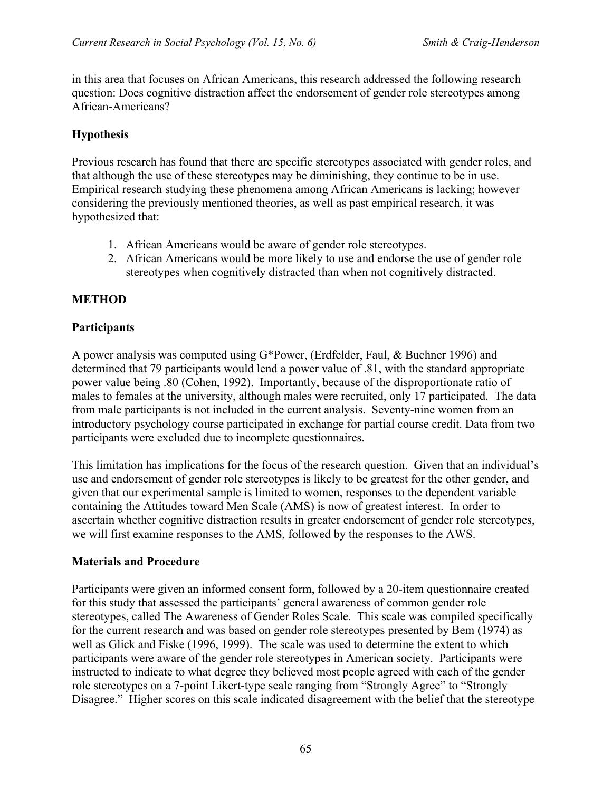in this area that focuses on African Americans, this research addressed the following research question: Does cognitive distraction affect the endorsement of gender role stereotypes among African-Americans?

# **Hypothesis**

Previous research has found that there are specific stereotypes associated with gender roles, and that although the use of these stereotypes may be diminishing, they continue to be in use. Empirical research studying these phenomena among African Americans is lacking; however considering the previously mentioned theories, as well as past empirical research, it was hypothesized that:

- 1. African Americans would be aware of gender role stereotypes.
- 2. African Americans would be more likely to use and endorse the use of gender role stereotypes when cognitively distracted than when not cognitively distracted.

# **METHOD**

## **Participants**

A power analysis was computed using G\*Power, (Erdfelder, Faul, & Buchner 1996) and determined that 79 participants would lend a power value of .81, with the standard appropriate power value being .80 (Cohen, 1992). Importantly, because of the disproportionate ratio of males to females at the university, although males were recruited, only 17 participated. The data from male participants is not included in the current analysis. Seventy-nine women from an introductory psychology course participated in exchange for partial course credit. Data from two participants were excluded due to incomplete questionnaires.

This limitation has implications for the focus of the research question. Given that an individual's use and endorsement of gender role stereotypes is likely to be greatest for the other gender, and given that our experimental sample is limited to women, responses to the dependent variable containing the Attitudes toward Men Scale (AMS) is now of greatest interest. In order to ascertain whether cognitive distraction results in greater endorsement of gender role stereotypes, we will first examine responses to the AMS, followed by the responses to the AWS.

#### **Materials and Procedure**

Participants were given an informed consent form, followed by a 20-item questionnaire created for this study that assessed the participants' general awareness of common gender role stereotypes, called The Awareness of Gender Roles Scale. This scale was compiled specifically for the current research and was based on gender role stereotypes presented by Bem (1974) as well as Glick and Fiske (1996, 1999). The scale was used to determine the extent to which participants were aware of the gender role stereotypes in American society. Participants were instructed to indicate to what degree they believed most people agreed with each of the gender role stereotypes on a 7-point Likert-type scale ranging from "Strongly Agree" to "Strongly Disagree." Higher scores on this scale indicated disagreement with the belief that the stereotype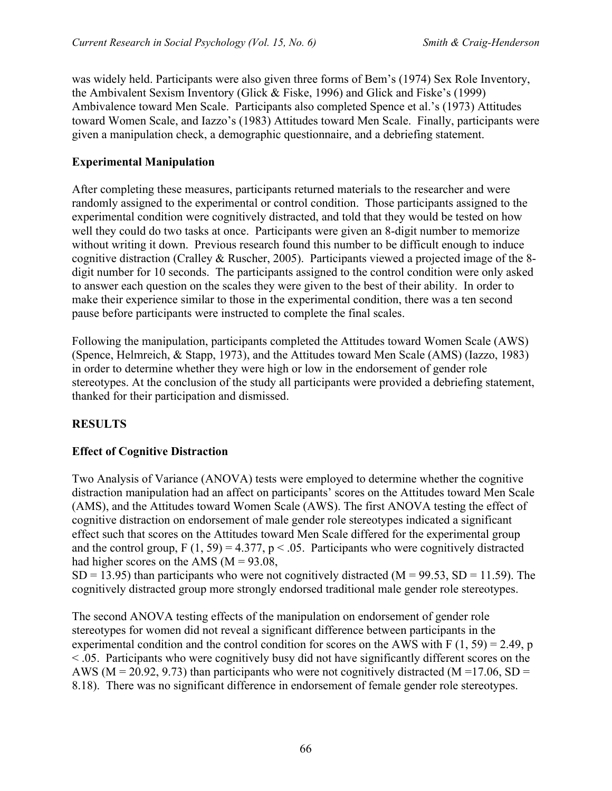was widely held. Participants were also given three forms of Bem's (1974) Sex Role Inventory, the Ambivalent Sexism Inventory (Glick & Fiske, 1996) and Glick and Fiske's (1999) Ambivalence toward Men Scale. Participants also completed Spence et al.'s (1973) Attitudes toward Women Scale, and Iazzo's (1983) Attitudes toward Men Scale. Finally, participants were given a manipulation check, a demographic questionnaire, and a debriefing statement.

## **Experimental Manipulation**

After completing these measures, participants returned materials to the researcher and were randomly assigned to the experimental or control condition. Those participants assigned to the experimental condition were cognitively distracted, and told that they would be tested on how well they could do two tasks at once. Participants were given an 8-digit number to memorize without writing it down. Previous research found this number to be difficult enough to induce cognitive distraction (Cralley & Ruscher, 2005). Participants viewed a projected image of the 8 digit number for 10 seconds. The participants assigned to the control condition were only asked to answer each question on the scales they were given to the best of their ability. In order to make their experience similar to those in the experimental condition, there was a ten second pause before participants were instructed to complete the final scales.

Following the manipulation, participants completed the Attitudes toward Women Scale (AWS) (Spence, Helmreich, & Stapp, 1973), and the Attitudes toward Men Scale (AMS) (Iazzo, 1983) in order to determine whether they were high or low in the endorsement of gender role stereotypes. At the conclusion of the study all participants were provided a debriefing statement, thanked for their participation and dismissed.

# **RESULTS**

# **Effect of Cognitive Distraction**

Two Analysis of Variance (ANOVA) tests were employed to determine whether the cognitive distraction manipulation had an affect on participants' scores on the Attitudes toward Men Scale (AMS), and the Attitudes toward Women Scale (AWS). The first ANOVA testing the effect of cognitive distraction on endorsement of male gender role stereotypes indicated a significant effect such that scores on the Attitudes toward Men Scale differed for the experimental group and the control group,  $F(1, 59) = 4.377$ ,  $p < .05$ . Participants who were cognitively distracted had higher scores on the AMS  $(M = 93.08)$ .

 $SD = 13.95$ ) than participants who were not cognitively distracted (M = 99.53, SD = 11.59). The cognitively distracted group more strongly endorsed traditional male gender role stereotypes.

The second ANOVA testing effects of the manipulation on endorsement of gender role stereotypes for women did not reveal a significant difference between participants in the experimental condition and the control condition for scores on the AWS with  $F(1, 59) = 2.49$ , p < .05. Participants who were cognitively busy did not have significantly different scores on the AWS ( $M = 20.92$ , 9.73) than participants who were not cognitively distracted ( $M = 17.06$ , SD = 8.18). There was no significant difference in endorsement of female gender role stereotypes.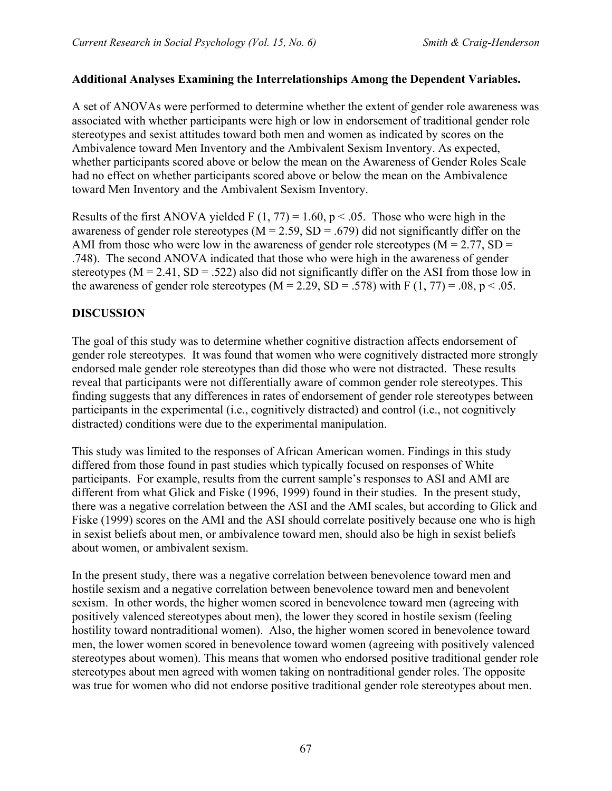## **Additional Analyses Examining the Interrelationships Among the Dependent Variables.**

A set of ANOVAs were performed to determine whether the extent of gender role awareness was associated with whether participants were high or low in endorsement of traditional gender role stereotypes and sexist attitudes toward both men and women as indicated by scores on the Ambivalence toward Men Inventory and the Ambivalent Sexism Inventory. As expected, whether participants scored above or below the mean on the Awareness of Gender Roles Scale had no effect on whether participants scored above or below the mean on the Ambivalence toward Men Inventory and the Ambivalent Sexism Inventory.

Results of the first ANOVA yielded F  $(1, 77) = 1.60$ , p < .05. Those who were high in the awareness of gender role stereotypes ( $M = 2.59$ ,  $SD = .679$ ) did not significantly differ on the AMI from those who were low in the awareness of gender role stereotypes ( $M = 2.77$ ,  $SD =$ .748). The second ANOVA indicated that those who were high in the awareness of gender stereotypes ( $M = 2.41$ ,  $SD = .522$ ) also did not significantly differ on the ASI from those low in the awareness of gender role stereotypes ( $M = 2.29$ ,  $SD = .578$ ) with F (1, 77) = .08, p < .05.

## **DISCUSSION**

The goal of this study was to determine whether cognitive distraction affects endorsement of gender role stereotypes. It was found that women who were cognitively distracted more strongly endorsed male gender role stereotypes than did those who were not distracted. These results reveal that participants were not differentially aware of common gender role stereotypes. This finding suggests that any differences in rates of endorsement of gender role stereotypes between participants in the experimental (i.e., cognitively distracted) and control (i.e., not cognitively distracted) conditions were due to the experimental manipulation.

This study was limited to the responses of African American women. Findings in this study differed from those found in past studies which typically focused on responses of White participants. For example, results from the current sample's responses to ASI and AMI are different from what Glick and Fiske (1996, 1999) found in their studies. In the present study, there was a negative correlation between the ASI and the AMI scales, but according to Glick and Fiske (1999) scores on the AMI and the ASI should correlate positively because one who is high in sexist beliefs about men, or ambivalence toward men, should also be high in sexist beliefs about women, or ambivalent sexism.

In the present study, there was a negative correlation between benevolence toward men and hostile sexism and a negative correlation between benevolence toward men and benevolent sexism. In other words, the higher women scored in benevolence toward men (agreeing with positively valenced stereotypes about men), the lower they scored in hostile sexism (feeling hostility toward nontraditional women). Also, the higher women scored in benevolence toward men, the lower women scored in benevolence toward women (agreeing with positively valenced stereotypes about women). This means that women who endorsed positive traditional gender role stereotypes about men agreed with women taking on nontraditional gender roles. The opposite was true for women who did not endorse positive traditional gender role stereotypes about men.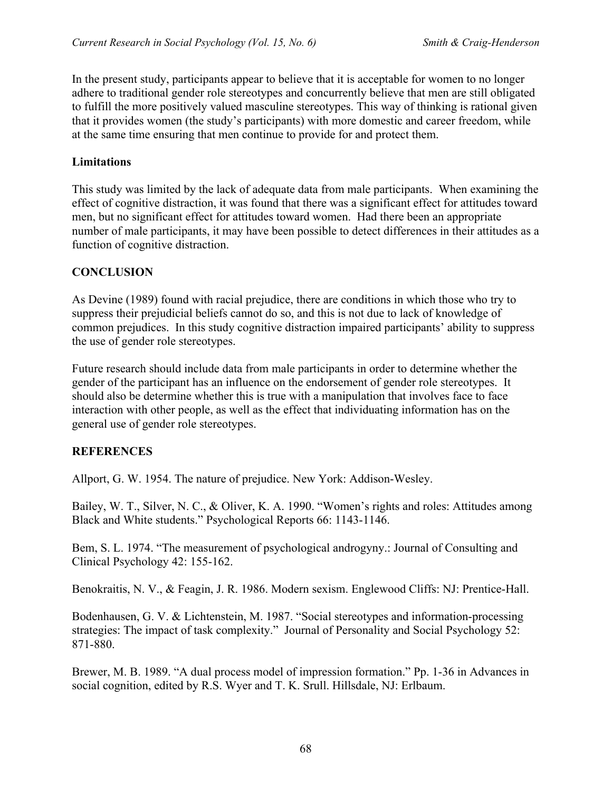In the present study, participants appear to believe that it is acceptable for women to no longer adhere to traditional gender role stereotypes and concurrently believe that men are still obligated to fulfill the more positively valued masculine stereotypes. This way of thinking is rational given that it provides women (the study's participants) with more domestic and career freedom, while at the same time ensuring that men continue to provide for and protect them.

## **Limitations**

This study was limited by the lack of adequate data from male participants. When examining the effect of cognitive distraction, it was found that there was a significant effect for attitudes toward men, but no significant effect for attitudes toward women. Had there been an appropriate number of male participants, it may have been possible to detect differences in their attitudes as a function of cognitive distraction.

# **CONCLUSION**

As Devine (1989) found with racial prejudice, there are conditions in which those who try to suppress their prejudicial beliefs cannot do so, and this is not due to lack of knowledge of common prejudices. In this study cognitive distraction impaired participants' ability to suppress the use of gender role stereotypes.

Future research should include data from male participants in order to determine whether the gender of the participant has an influence on the endorsement of gender role stereotypes. It should also be determine whether this is true with a manipulation that involves face to face interaction with other people, as well as the effect that individuating information has on the general use of gender role stereotypes.

# **REFERENCES**

Allport, G. W. 1954. The nature of prejudice. New York: Addison-Wesley.

Bailey, W. T., Silver, N. C., & Oliver, K. A. 1990. "Women's rights and roles: Attitudes among Black and White students." Psychological Reports 66: 1143-1146.

Bem, S. L. 1974. "The measurement of psychological androgyny.: Journal of Consulting and Clinical Psychology 42: 155-162.

Benokraitis, N. V., & Feagin, J. R. 1986. Modern sexism. Englewood Cliffs: NJ: Prentice-Hall.

Bodenhausen, G. V. & Lichtenstein, M. 1987. "Social stereotypes and information-processing strategies: The impact of task complexity." Journal of Personality and Social Psychology 52: 871-880.

Brewer, M. B. 1989. "A dual process model of impression formation." Pp. 1-36 in Advances in social cognition, edited by R.S. Wyer and T. K. Srull. Hillsdale, NJ: Erlbaum.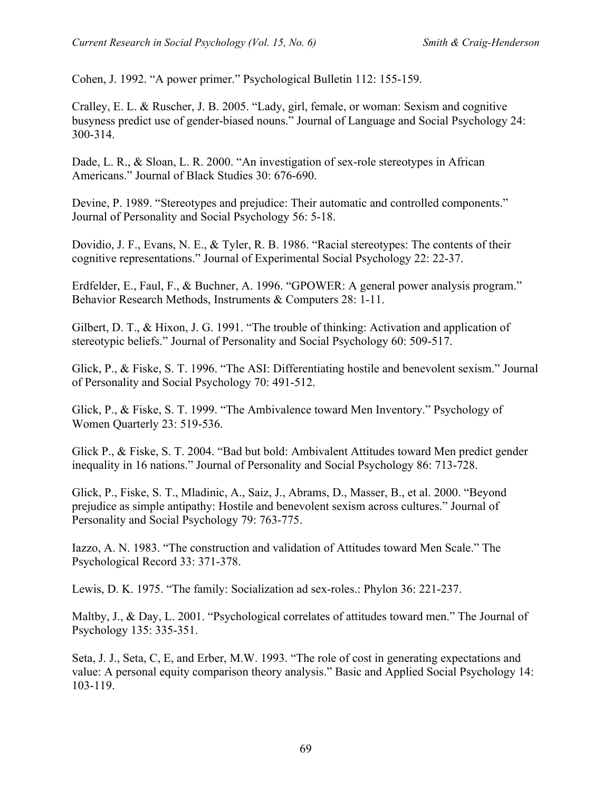Cohen, J. 1992. "A power primer." Psychological Bulletin 112: 155-159.

Cralley, E. L. & Ruscher, J. B. 2005. "Lady, girl, female, or woman: Sexism and cognitive busyness predict use of gender-biased nouns." Journal of Language and Social Psychology 24: 300-314.

Dade, L. R., & Sloan, L. R. 2000. "An investigation of sex-role stereotypes in African Americans." Journal of Black Studies 30: 676-690.

Devine, P. 1989. "Stereotypes and prejudice: Their automatic and controlled components." Journal of Personality and Social Psychology 56: 5-18.

Dovidio, J. F., Evans, N. E., & Tyler, R. B. 1986. "Racial stereotypes: The contents of their cognitive representations." Journal of Experimental Social Psychology 22: 22-37.

Erdfelder, E., Faul, F., & Buchner, A. 1996. "GPOWER: A general power analysis program." Behavior Research Methods, Instruments & Computers 28: 1-11.

Gilbert, D. T., & Hixon, J. G. 1991. "The trouble of thinking: Activation and application of stereotypic beliefs." Journal of Personality and Social Psychology 60: 509-517.

Glick, P., & Fiske, S. T. 1996. "The ASI: Differentiating hostile and benevolent sexism." Journal of Personality and Social Psychology 70: 491-512.

Glick, P., & Fiske, S. T. 1999. "The Ambivalence toward Men Inventory." Psychology of Women Quarterly 23: 519-536.

Glick P., & Fiske, S. T. 2004. "Bad but bold: Ambivalent Attitudes toward Men predict gender inequality in 16 nations." Journal of Personality and Social Psychology 86: 713-728.

Glick, P., Fiske, S. T., Mladinic, A., Saiz, J., Abrams, D., Masser, B., et al. 2000. "Beyond prejudice as simple antipathy: Hostile and benevolent sexism across cultures." Journal of Personality and Social Psychology 79: 763-775.

Iazzo, A. N. 1983. "The construction and validation of Attitudes toward Men Scale." The Psychological Record 33: 371-378.

Lewis, D. K. 1975. "The family: Socialization ad sex-roles.: Phylon 36: 221-237.

Maltby, J., & Day, L. 2001. "Psychological correlates of attitudes toward men." The Journal of Psychology 135: 335-351.

Seta, J. J., Seta, C, E, and Erber, M.W. 1993. "The role of cost in generating expectations and value: A personal equity comparison theory analysis." Basic and Applied Social Psychology 14: 103-119.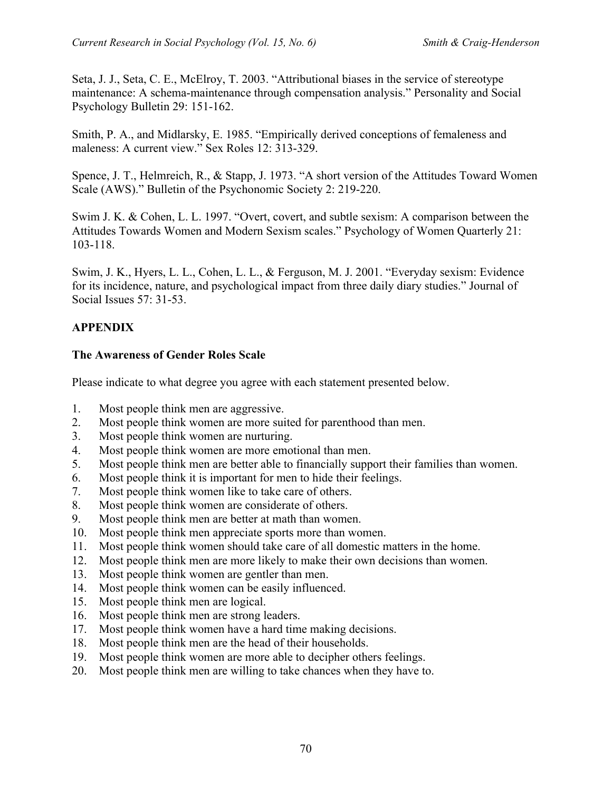Seta, J. J., Seta, C. E., McElroy, T. 2003. "Attributional biases in the service of stereotype maintenance: A schema-maintenance through compensation analysis." Personality and Social Psychology Bulletin 29: 151-162.

Smith, P. A., and Midlarsky, E. 1985. "Empirically derived conceptions of femaleness and maleness: A current view." Sex Roles 12: 313-329.

Spence, J. T., Helmreich, R., & Stapp, J. 1973. "A short version of the Attitudes Toward Women Scale (AWS)." Bulletin of the Psychonomic Society 2: 219-220.

Swim J. K. & Cohen, L. L. 1997. "Overt, covert, and subtle sexism: A comparison between the Attitudes Towards Women and Modern Sexism scales." Psychology of Women Quarterly 21: 103-118.

Swim, J. K., Hyers, L. L., Cohen, L. L., & Ferguson, M. J. 2001. "Everyday sexism: Evidence for its incidence, nature, and psychological impact from three daily diary studies." Journal of Social Issues 57: 31-53.

# **APPENDIX**

## **The Awareness of Gender Roles Scale**

Please indicate to what degree you agree with each statement presented below.

- 1. Most people think men are aggressive.
- 2. Most people think women are more suited for parenthood than men.
- 3. Most people think women are nurturing.
- 4. Most people think women are more emotional than men.
- 5. Most people think men are better able to financially support their families than women.
- 6. Most people think it is important for men to hide their feelings.
- 7. Most people think women like to take care of others.
- 8. Most people think women are considerate of others.
- 9. Most people think men are better at math than women.
- 10. Most people think men appreciate sports more than women.
- 11. Most people think women should take care of all domestic matters in the home.
- 12. Most people think men are more likely to make their own decisions than women.
- 13. Most people think women are gentler than men.
- 14. Most people think women can be easily influenced.
- 15. Most people think men are logical.
- 16. Most people think men are strong leaders.
- 17. Most people think women have a hard time making decisions.
- 18. Most people think men are the head of their households.
- 19. Most people think women are more able to decipher others feelings.
- 20. Most people think men are willing to take chances when they have to.